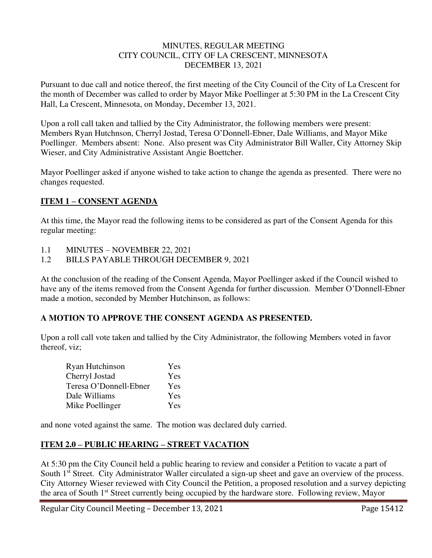#### MINUTES, REGULAR MEETING CITY COUNCIL, CITY OF LA CRESCENT, MINNESOTA DECEMBER 13, 2021

Pursuant to due call and notice thereof, the first meeting of the City Council of the City of La Crescent for the month of December was called to order by Mayor Mike Poellinger at 5:30 PM in the La Crescent City Hall, La Crescent, Minnesota, on Monday, December 13, 2021.

Upon a roll call taken and tallied by the City Administrator, the following members were present: Members Ryan Hutchnson, Cherryl Jostad, Teresa O'Donnell-Ebner, Dale Williams, and Mayor Mike Poellinger. Members absent: None. Also present was City Administrator Bill Waller, City Attorney Skip Wieser, and City Administrative Assistant Angie Boettcher.

Mayor Poellinger asked if anyone wished to take action to change the agenda as presented. There were no changes requested.

## **ITEM 1 – CONSENT AGENDA**

At this time, the Mayor read the following items to be considered as part of the Consent Agenda for this regular meeting:

- 1.1 MINUTES NOVEMBER 22, 2021
- 1.2 BILLS PAYABLE THROUGH DECEMBER 9, 2021

At the conclusion of the reading of the Consent Agenda, Mayor Poellinger asked if the Council wished to have any of the items removed from the Consent Agenda for further discussion. Member O'Donnell-Ebner made a motion, seconded by Member Hutchinson, as follows:

## **A MOTION TO APPROVE THE CONSENT AGENDA AS PRESENTED.**

Upon a roll call vote taken and tallied by the City Administrator, the following Members voted in favor thereof, viz;

| Ryan Hutchinson        | Yes |
|------------------------|-----|
| Cherryl Jostad         | Yes |
| Teresa O'Donnell-Ebner | Yes |
| Dale Williams          | Yes |
| Mike Poellinger        | Yes |

and none voted against the same. The motion was declared duly carried.

## **ITEM 2.0 – PUBLIC HEARING – STREET VACATION**

At 5:30 pm the City Council held a public hearing to review and consider a Petition to vacate a part of South 1<sup>st</sup> Street. City Administrator Waller circulated a sign-up sheet and gave an overview of the process. City Attorney Wieser reviewed with City Council the Petition, a proposed resolution and a survey depicting the area of South 1st Street currently being occupied by the hardware store. Following review, Mayor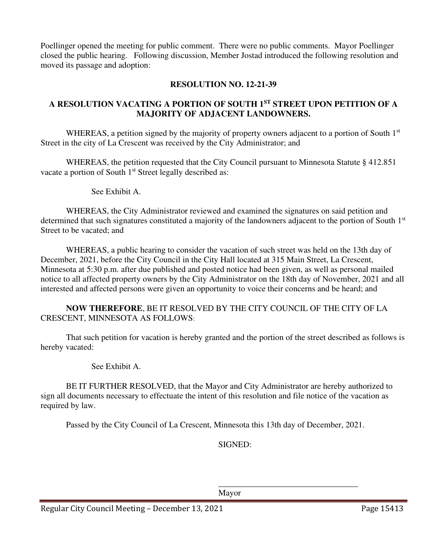Poellinger opened the meeting for public comment. There were no public comments. Mayor Poellinger closed the public hearing. Following discussion, Member Jostad introduced the following resolution and moved its passage and adoption:

## **RESOLUTION NO. 12-21-39**

# **A RESOLUTION VACATING A PORTION OF SOUTH 1ST STREET UPON PETITION OF A MAJORITY OF ADJACENT LANDOWNERS.**

WHEREAS, a petition signed by the majority of property owners adjacent to a portion of South 1<sup>st</sup> Street in the city of La Crescent was received by the City Administrator; and

WHEREAS, the petition requested that the City Council pursuant to Minnesota Statute § 412.851 vacate a portion of South 1<sup>st</sup> Street legally described as:

See Exhibit A.

WHEREAS, the City Administrator reviewed and examined the signatures on said petition and determined that such signatures constituted a majority of the landowners adjacent to the portion of South 1<sup>st</sup> Street to be vacated; and

WHEREAS, a public hearing to consider the vacation of such street was held on the 13th day of December, 2021, before the City Council in the City Hall located at 315 Main Street, La Crescent, Minnesota at 5:30 p.m. after due published and posted notice had been given, as well as personal mailed notice to all affected property owners by the City Administrator on the 18th day of November, 2021 and all interested and affected persons were given an opportunity to voice their concerns and be heard; and

**NOW THEREFORE**, BE IT RESOLVED BY THE CITY COUNCIL OF THE CITY OF LA CRESCENT, MINNESOTA AS FOLLOWS:

That such petition for vacation is hereby granted and the portion of the street described as follows is hereby vacated:

See Exhibit A.

BE IT FURTHER RESOLVED, that the Mayor and City Administrator are hereby authorized to sign all documents necessary to effectuate the intent of this resolution and file notice of the vacation as required by law.

Passed by the City Council of La Crescent, Minnesota this 13th day of December, 2021.

 $\overline{\phantom{a}}$  , and the contract of the contract of the contract of the contract of the contract of the contract of the contract of the contract of the contract of the contract of the contract of the contract of the contrac

SIGNED:

Mayor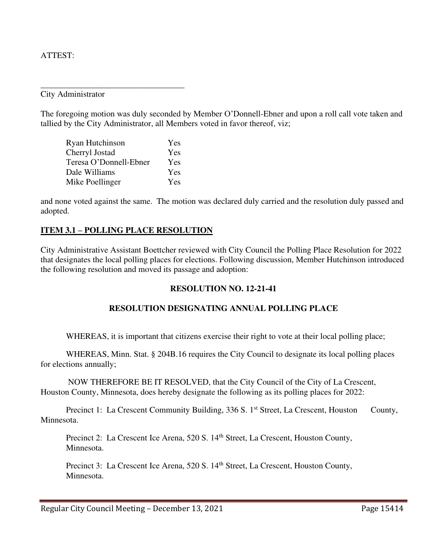#### ATTEST:

City Administrator

The foregoing motion was duly seconded by Member O'Donnell-Ebner and upon a roll call vote taken and tallied by the City Administrator, all Members voted in favor thereof, viz;

| Ryan Hutchinson        | Yes |
|------------------------|-----|
| Cherryl Jostad         | Yes |
| Teresa O'Donnell-Ebner | Yes |
| Dale Williams          | Yes |
| Mike Poellinger        | Yes |

\_\_\_\_\_\_\_\_\_\_\_\_\_\_\_\_\_\_\_\_\_\_\_\_\_\_\_\_\_\_\_\_\_\_

and none voted against the same. The motion was declared duly carried and the resolution duly passed and adopted.

#### **ITEM 3.1 – POLLING PLACE RESOLUTION**

City Administrative Assistant Boettcher reviewed with City Council the Polling Place Resolution for 2022 that designates the local polling places for elections. Following discussion, Member Hutchinson introduced the following resolution and moved its passage and adoption:

## **RESOLUTION NO. 12-21-41**

## **RESOLUTION DESIGNATING ANNUAL POLLING PLACE**

WHEREAS, it is important that citizens exercise their right to vote at their local polling place;

 WHEREAS, Minn. Stat. § 204B.16 requires the City Council to designate its local polling places for elections annually;

 NOW THEREFORE BE IT RESOLVED, that the City Council of the City of La Crescent, Houston County, Minnesota, does hereby designate the following as its polling places for 2022:

Precinct 1: La Crescent Community Building, 336 S. 1<sup>st</sup> Street, La Crescent, Houston County, Minnesota.

Precinct 2: La Crescent Ice Arena, 520 S. 14<sup>th</sup> Street, La Crescent, Houston County, Minnesota.

Precinct 3: La Crescent Ice Arena, 520 S. 14<sup>th</sup> Street, La Crescent, Houston County, Minnesota.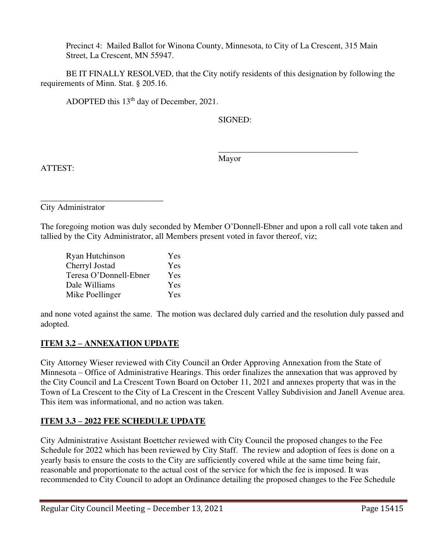Precinct 4: Mailed Ballot for Winona County, Minnesota, to City of La Crescent, 315 Main Street, La Crescent, MN 55947.

 BE IT FINALLY RESOLVED, that the City notify residents of this designation by following the requirements of Minn. Stat. § 205.16.

ADOPTED this 13<sup>th</sup> day of December, 2021.

SIGNED:

 $\overline{\phantom{a}}$  , and the contract of the contract of the contract of the contract of the contract of the contract of the contract of the contract of the contract of the contract of the contract of the contract of the contrac Mayor

ATTEST:

\_\_\_\_\_\_\_\_\_\_\_\_\_\_\_\_\_\_\_\_\_\_\_\_\_\_\_\_\_ City Administrator

The foregoing motion was duly seconded by Member O'Donnell-Ebner and upon a roll call vote taken and tallied by the City Administrator, all Members present voted in favor thereof, viz;

| Ryan Hutchinson        | Yes |
|------------------------|-----|
| Cherryl Jostad         | Yes |
| Teresa O'Donnell-Ebner | Yes |
| Dale Williams          | Yes |
| Mike Poellinger        | Yes |

and none voted against the same. The motion was declared duly carried and the resolution duly passed and adopted.

# **ITEM 3.2 – ANNEXATION UPDATE**

City Attorney Wieser reviewed with City Council an Order Approving Annexation from the State of Minnesota – Office of Administrative Hearings. This order finalizes the annexation that was approved by the City Council and La Crescent Town Board on October 11, 2021 and annexes property that was in the Town of La Crescent to the City of La Crescent in the Crescent Valley Subdivision and Janell Avenue area. This item was informational, and no action was taken.

# **ITEM 3.3 – 2022 FEE SCHEDULE UPDATE**

City Administrative Assistant Boettcher reviewed with City Council the proposed changes to the Fee Schedule for 2022 which has been reviewed by City Staff. The review and adoption of fees is done on a yearly basis to ensure the costs to the City are sufficiently covered while at the same time being fair, reasonable and proportionate to the actual cost of the service for which the fee is imposed. It was recommended to City Council to adopt an Ordinance detailing the proposed changes to the Fee Schedule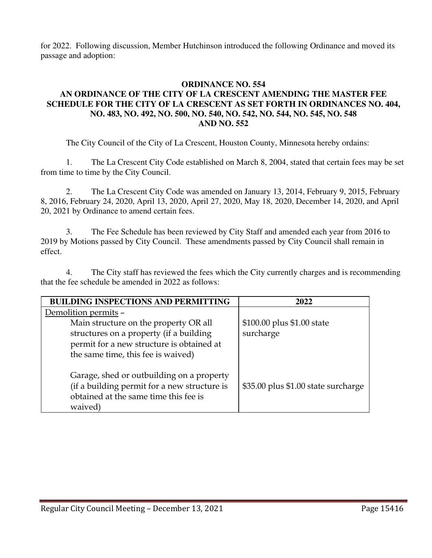for 2022. Following discussion, Member Hutchinson introduced the following Ordinance and moved its passage and adoption:

### **ORDINANCE NO. 554 AN ORDINANCE OF THE CITY OF LA CRESCENT AMENDING THE MASTER FEE SCHEDULE FOR THE CITY OF LA CRESCENT AS SET FORTH IN ORDINANCES NO. 404, NO. 483, NO. 492, NO. 500, NO. 540, NO. 542, NO. 544, NO. 545, NO. 548 AND NO. 552**

The City Council of the City of La Crescent, Houston County, Minnesota hereby ordains:

1. The La Crescent City Code established on March 8, 2004, stated that certain fees may be set from time to time by the City Council.

2. The La Crescent City Code was amended on January 13, 2014, February 9, 2015, February 8, 2016, February 24, 2020, April 13, 2020, April 27, 2020, May 18, 2020, December 14, 2020, and April 20, 2021 by Ordinance to amend certain fees.

3. The Fee Schedule has been reviewed by City Staff and amended each year from 2016 to 2019 by Motions passed by City Council. These amendments passed by City Council shall remain in effect.

4. The City staff has reviewed the fees which the City currently charges and is recommending that the fee schedule be amended in 2022 as follows:

| <b>BUILDING INSPECTIONS AND PERMITTING</b>                                                                                                    | 2022                                |
|-----------------------------------------------------------------------------------------------------------------------------------------------|-------------------------------------|
| Demolition permits -                                                                                                                          |                                     |
| Main structure on the property OR all                                                                                                         | \$100.00 plus \$1.00 state          |
| structures on a property (if a building                                                                                                       | surcharge                           |
| permit for a new structure is obtained at                                                                                                     |                                     |
| the same time, this fee is waived)                                                                                                            |                                     |
| Garage, shed or outbuilding on a property<br>(if a building permit for a new structure is<br>obtained at the same time this fee is<br>waived) | \$35.00 plus \$1.00 state surcharge |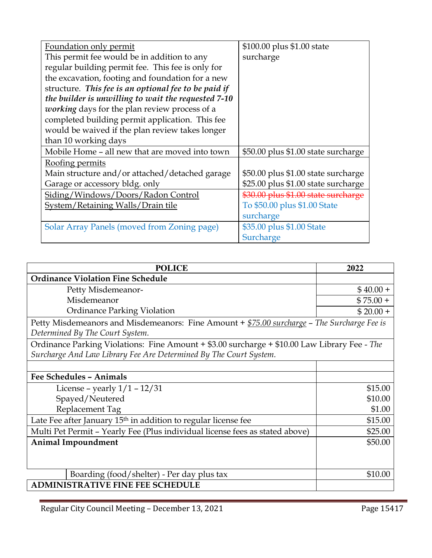| Foundation only permit                               | \$100.00 plus \$1.00 state          |
|------------------------------------------------------|-------------------------------------|
| This permit fee would be in addition to any          | surcharge                           |
| regular building permit fee. This fee is only for    |                                     |
| the excavation, footing and foundation for a new     |                                     |
| structure. This fee is an optional fee to be paid if |                                     |
| the builder is unwilling to wait the requested 7-10  |                                     |
| <i>working</i> days for the plan review process of a |                                     |
| completed building permit application. This fee      |                                     |
| would be waived if the plan review takes longer      |                                     |
| than 10 working days                                 |                                     |
| Mobile Home – all new that are moved into town       | \$50.00 plus \$1.00 state surcharge |
| <u>Roofing permits</u>                               |                                     |
| Main structure and/or attached/detached garage       | \$50.00 plus \$1.00 state surcharge |
| Garage or accessory bldg. only                       | \$25.00 plus \$1.00 state surcharge |
| Siding/Windows/Doors/Radon Control                   | \$30.00 plus \$1.00 state surcharge |
| System/Retaining Walls/Drain tile                    | To \$50.00 plus \$1.00 State        |
|                                                      | surcharge                           |
| Solar Array Panels (moved from Zoning page)          | \$35.00 plus \$1.00 State           |
|                                                      | Surcharge                           |

| <b>POLICE</b>                                                                                                                  | 2022       |
|--------------------------------------------------------------------------------------------------------------------------------|------------|
| <b>Ordinance Violation Fine Schedule</b>                                                                                       |            |
| Petty Misdemeanor-                                                                                                             | $$40.00+$  |
| Misdemeanor                                                                                                                    | $$75.00 +$ |
| <b>Ordinance Parking Violation</b>                                                                                             | $$20.00 +$ |
| Petty Misdemeanors and Misdemeanors: Fine Amount + \$75.00 surcharge - The Surcharge Fee is<br>Determined By The Court System. |            |
| Ordinance Parking Violations: Fine Amount + \$3.00 surcharge + \$10.00 Law Library Fee - The                                   |            |
| Surcharge And Law Library Fee Are Determined By The Court System.                                                              |            |
|                                                                                                                                |            |
| <b>Fee Schedules - Animals</b>                                                                                                 |            |
| License – yearly $1/1 - 12/31$                                                                                                 | \$15.00    |
| Spayed/Neutered                                                                                                                | \$10.00    |
| Replacement Tag                                                                                                                | \$1.00     |
| Late Fee after January 15 <sup>th</sup> in addition to regular license fee                                                     | \$15.00    |
| Multi Pet Permit - Yearly Fee (Plus individual license fees as stated above)                                                   | \$25.00    |
| <b>Animal Impoundment</b>                                                                                                      | \$50.00    |
|                                                                                                                                |            |
| Boarding (food/shelter) - Per day plus tax                                                                                     | \$10.00    |
| <b>ADMINISTRATIVE FINE FEE SCHEDULE</b>                                                                                        |            |

Regular City Council Meeting – December 13, 2021 Page 15417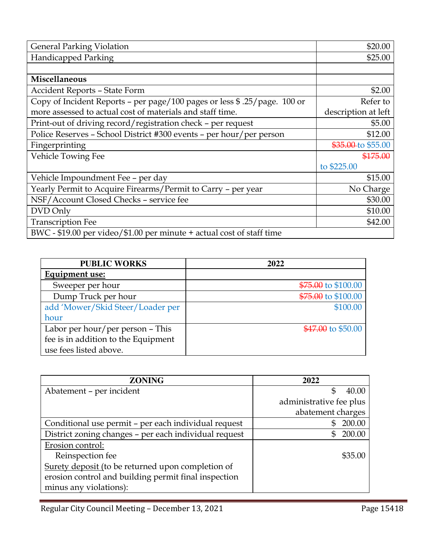| <b>General Parking Violation</b>                                          | \$20.00             |
|---------------------------------------------------------------------------|---------------------|
| <b>Handicapped Parking</b>                                                | \$25.00             |
|                                                                           |                     |
| Miscellaneous                                                             |                     |
| <b>Accident Reports - State Form</b>                                      | \$2.00              |
| Copy of Incident Reports - per page/100 pages or less \$ .25/page. 100 or | Refer to            |
| more assessed to actual cost of materials and staff time.                 | description at left |
| Print-out of driving record/registration check - per request              | \$5.00              |
| Police Reserves - School District #300 events - per hour/per person       | \$12.00             |
| Fingerprinting                                                            | \$35.00-to \$55.00  |
| Vehicle Towing Fee                                                        | \$175.00            |
|                                                                           | to \$225.00         |
| Vehicle Impoundment Fee - per day                                         | \$15.00             |
| Yearly Permit to Acquire Firearms/Permit to Carry - per year              | No Charge           |
| NSF/Account Closed Checks - service fee                                   | \$30.00             |
| DVD Only                                                                  | \$10.00             |
| <b>Transcription Fee</b>                                                  | \$42.00             |
| BWC - \$19.00 per video/\$1.00 per minute + actual cost of staff time     |                     |

| <b>PUBLIC WORKS</b>                 | 2022                |
|-------------------------------------|---------------------|
| Equipment use:                      |                     |
| Sweeper per hour                    | \$75.00 to \$100.00 |
| Dump Truck per hour                 | \$75.00 to \$100.00 |
| add 'Mower/Skid Steer/Loader per    | \$100.00            |
| hour                                |                     |
| Labor per hour/per person - This    | \$47.00 to \$50.00  |
| fee is in addition to the Equipment |                     |
| use fees listed above.              |                     |

| <b>ZONING</b>                                         | 2022                    |
|-------------------------------------------------------|-------------------------|
| Abatement - per incident                              | \$<br>40.00             |
|                                                       | administrative fee plus |
|                                                       | abatement charges       |
| Conditional use permit - per each individual request  | 200.00<br>\$            |
| District zoning changes - per each individual request | 200.00<br>\$.           |
| Erosion control:                                      |                         |
| Reinspection fee                                      | \$35.00                 |
| Surety deposit (to be returned upon completion of     |                         |
| erosion control and building permit final inspection  |                         |
| minus any violations):                                |                         |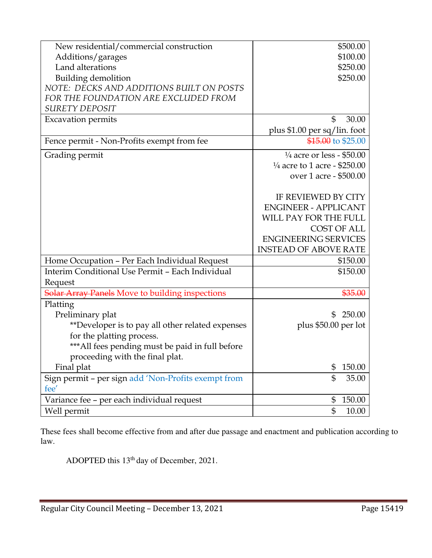| New residential/commercial construction                     | \$500.00                                |
|-------------------------------------------------------------|-----------------------------------------|
| Additions/garages                                           | \$100.00                                |
| Land alterations                                            | \$250.00                                |
| <b>Building demolition</b>                                  | \$250.00                                |
| NOTE: DECKS AND ADDITIONS BUILT ON POSTS                    |                                         |
| FOR THE FOUNDATION ARE EXCLUDED FROM                        |                                         |
| <b>SURETY DEPOSIT</b>                                       |                                         |
| <b>Excavation permits</b>                                   | \$<br>30.00                             |
|                                                             | plus \$1.00 per sq/lin. foot            |
| Fence permit - Non-Profits exempt from fee                  | \$15.00 to \$25.00                      |
| Grading permit                                              | $\frac{1}{4}$ acre or less - \$50.00    |
|                                                             | $\frac{1}{4}$ acre to 1 acre - \$250.00 |
|                                                             | over 1 acre - \$500.00                  |
|                                                             | IF REVIEWED BY CITY                     |
|                                                             | <b>ENGINEER - APPLICANT</b>             |
|                                                             | WILL PAY FOR THE FULL                   |
|                                                             | <b>COST OF ALL</b>                      |
|                                                             | <b>ENGINEERING SERVICES</b>             |
|                                                             | <b>INSTEAD OF ABOVE RATE</b>            |
| Home Occupation - Per Each Individual Request               | \$150.00                                |
| Interim Conditional Use Permit - Each Individual            | \$150.00                                |
| Request                                                     |                                         |
| Solar Array Panels Move to building inspections             | \$35.00                                 |
|                                                             |                                         |
| Platting<br>Preliminary plat                                | 250.00<br>\$                            |
|                                                             |                                         |
| **Developer is to pay all other related expenses            | plus \$50.00 per lot                    |
| for the platting process.                                   |                                         |
| *** All fees pending must be paid in full before            |                                         |
| proceeding with the final plat.                             |                                         |
| Final plat                                                  | 150.00<br>\$                            |
| Sign permit - per sign add 'Non-Profits exempt from<br>fee' | \$<br>35.00                             |
| Variance fee - per each individual request                  | \$<br>150.00                            |
| Well permit                                                 | \$<br>10.00                             |

These fees shall become effective from and after due passage and enactment and publication according to law.

ADOPTED this 13th day of December, 2021.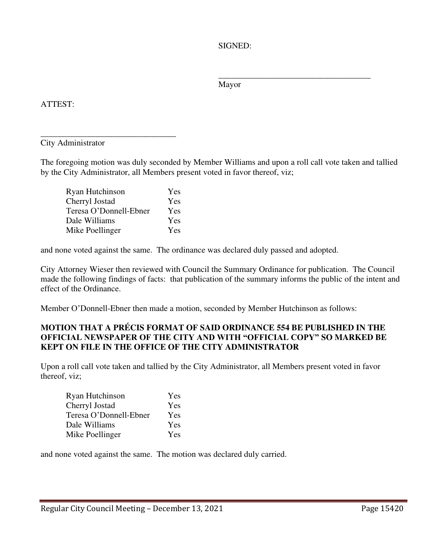SIGNED:

Mayor

 $\overline{\phantom{a}}$  , which is a set of the set of the set of the set of the set of the set of the set of the set of the set of the set of the set of the set of the set of the set of the set of the set of the set of the set of th

ATTEST:

\_\_\_\_\_\_\_\_\_\_\_\_\_\_\_\_\_\_\_\_\_\_\_\_\_\_\_\_\_\_\_\_ City Administrator

The foregoing motion was duly seconded by Member Williams and upon a roll call vote taken and tallied by the City Administrator, all Members present voted in favor thereof, viz;

| Ryan Hutchinson        | Yes |
|------------------------|-----|
| Cherryl Jostad         | Yes |
| Teresa O'Donnell-Ebner | Yes |
| Dale Williams          | Yes |
| Mike Poellinger        | Yes |

and none voted against the same. The ordinance was declared duly passed and adopted.

City Attorney Wieser then reviewed with Council the Summary Ordinance for publication. The Council made the following findings of facts: that publication of the summary informs the public of the intent and effect of the Ordinance.

Member O'Donnell-Ebner then made a motion, seconded by Member Hutchinson as follows:

## **MOTION THAT A PRÉCIS FORMAT OF SAID ORDINANCE 554 BE PUBLISHED IN THE OFFICIAL NEWSPAPER OF THE CITY AND WITH "OFFICIAL COPY" SO MARKED BE KEPT ON FILE IN THE OFFICE OF THE CITY ADMINISTRATOR**

Upon a roll call vote taken and tallied by the City Administrator, all Members present voted in favor thereof, viz;

| Ryan Hutchinson        | Yes |
|------------------------|-----|
| Cherryl Jostad         | Yes |
| Teresa O'Donnell-Ebner | Yes |
| Dale Williams          | Yes |
| Mike Poellinger        | Yes |

and none voted against the same. The motion was declared duly carried.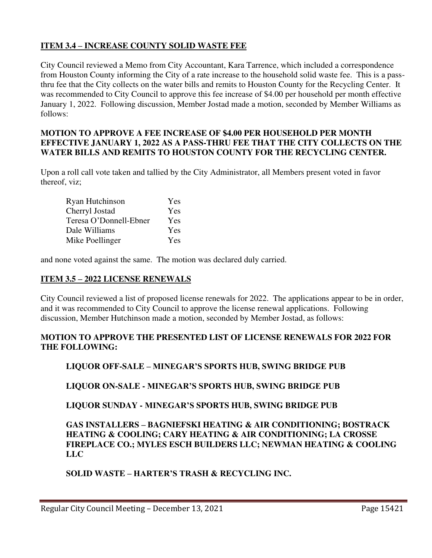## **ITEM 3.4 – INCREASE COUNTY SOLID WASTE FEE**

City Council reviewed a Memo from City Accountant, Kara Tarrence, which included a correspondence from Houston County informing the City of a rate increase to the household solid waste fee. This is a passthru fee that the City collects on the water bills and remits to Houston County for the Recycling Center. It was recommended to City Council to approve this fee increase of \$4.00 per household per month effective January 1, 2022. Following discussion, Member Jostad made a motion, seconded by Member Williams as follows:

### **MOTION TO APPROVE A FEE INCREASE OF \$4.00 PER HOUSEHOLD PER MONTH EFFECTIVE JANUARY 1, 2022 AS A PASS-THRU FEE THAT THE CITY COLLECTS ON THE WATER BILLS AND REMITS TO HOUSTON COUNTY FOR THE RECYCLING CENTER.**

Upon a roll call vote taken and tallied by the City Administrator, all Members present voted in favor thereof, viz;

| Ryan Hutchinson        | Yes |
|------------------------|-----|
| Cherryl Jostad         | Yes |
| Teresa O'Donnell-Ebner | Yes |
| Dale Williams          | Yes |
| Mike Poellinger        | Yes |

and none voted against the same. The motion was declared duly carried.

## **ITEM 3.5 – 2022 LICENSE RENEWALS**

City Council reviewed a list of proposed license renewals for 2022. The applications appear to be in order, and it was recommended to City Council to approve the license renewal applications. Following discussion, Member Hutchinson made a motion, seconded by Member Jostad, as follows:

## **MOTION TO APPROVE THE PRESENTED LIST OF LICENSE RENEWALS FOR 2022 FOR THE FOLLOWING:**

## **LIQUOR OFF-SALE – MINEGAR'S SPORTS HUB, SWING BRIDGE PUB**

## **LIQUOR ON-SALE - MINEGAR'S SPORTS HUB, SWING BRIDGE PUB**

## **LIQUOR SUNDAY - MINEGAR'S SPORTS HUB, SWING BRIDGE PUB**

## **GAS INSTALLERS – BAGNIEFSKI HEATING & AIR CONDITIONING; BOSTRACK HEATING & COOLING; CARY HEATING & AIR CONDITIONING; LA CROSSE FIREPLACE CO.; MYLES ESCH BUILDERS LLC; NEWMAN HEATING & COOLING LLC**

# **SOLID WASTE – HARTER'S TRASH & RECYCLING INC.**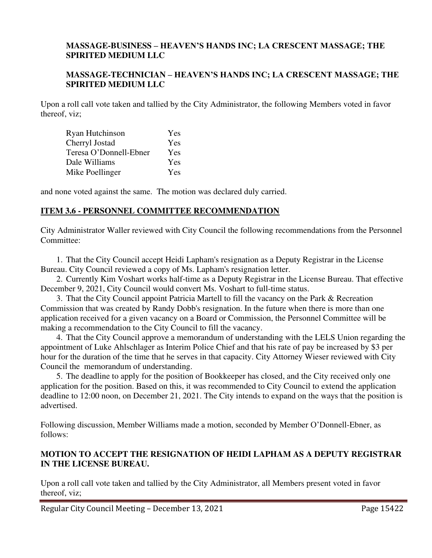#### **MASSAGE-BUSINESS – HEAVEN'S HANDS INC; LA CRESCENT MASSAGE; THE SPIRITED MEDIUM LLC**

#### **MASSAGE-TECHNICIAN – HEAVEN'S HANDS INC; LA CRESCENT MASSAGE; THE SPIRITED MEDIUM LLC**

Upon a roll call vote taken and tallied by the City Administrator, the following Members voted in favor thereof, viz;

| Ryan Hutchinson        | Yes |
|------------------------|-----|
| Cherryl Jostad         | Yes |
| Teresa O'Donnell-Ebner | Yes |
| Dale Williams          | Yes |
| Mike Poellinger        | Yes |

and none voted against the same. The motion was declared duly carried.

## **ITEM 3.6 - PERSONNEL COMMITTEE RECOMMENDATION**

City Administrator Waller reviewed with City Council the following recommendations from the Personnel Committee:

1. That the City Council accept Heidi Lapham's resignation as a Deputy Registrar in the License Bureau. City Council reviewed a copy of Ms. Lapham's resignation letter.

2. Currently Kim Voshart works half-time as a Deputy Registrar in the License Bureau. That effective December 9, 2021, City Council would convert Ms. Voshart to full-time status.

3. That the City Council appoint Patricia Martell to fill the vacancy on the Park & Recreation Commission that was created by Randy Dobb's resignation. In the future when there is more than one application received for a given vacancy on a Board or Commission, the Personnel Committee will be making a recommendation to the City Council to fill the vacancy.

4. That the City Council approve a memorandum of understanding with the LELS Union regarding the appointment of Luke Ahlschlager as Interim Police Chief and that his rate of pay be increased by \$3 per hour for the duration of the time that he serves in that capacity. City Attorney Wieser reviewed with City Council the memorandum of understanding.

5. The deadline to apply for the position of Bookkeeper has closed, and the City received only one application for the position. Based on this, it was recommended to City Council to extend the application deadline to 12:00 noon, on December 21, 2021. The City intends to expand on the ways that the position is advertised.

Following discussion, Member Williams made a motion, seconded by Member O'Donnell-Ebner, as follows:

## **MOTION TO ACCEPT THE RESIGNATION OF HEIDI LAPHAM AS A DEPUTY REGISTRAR IN THE LICENSE BUREAU.**

Upon a roll call vote taken and tallied by the City Administrator, all Members present voted in favor thereof, viz;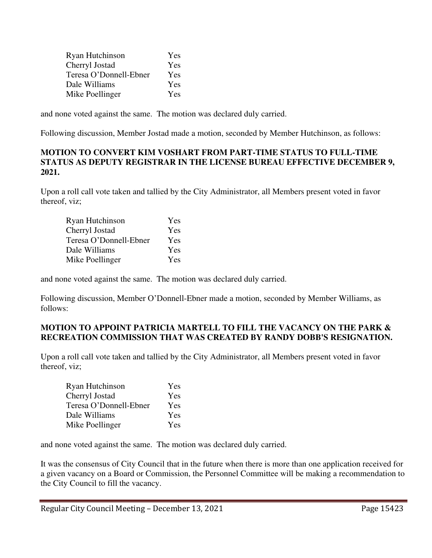| Ryan Hutchinson        | Yes |
|------------------------|-----|
| Cherryl Jostad         | Yes |
| Teresa O'Donnell-Ebner | Yes |
| Dale Williams          | Yes |
| Mike Poellinger        | Yes |

and none voted against the same. The motion was declared duly carried.

Following discussion, Member Jostad made a motion, seconded by Member Hutchinson, as follows:

#### **MOTION TO CONVERT KIM VOSHART FROM PART-TIME STATUS TO FULL-TIME STATUS AS DEPUTY REGISTRAR IN THE LICENSE BUREAU EFFECTIVE DECEMBER 9, 2021.**

Upon a roll call vote taken and tallied by the City Administrator, all Members present voted in favor thereof, viz;

| Ryan Hutchinson        | Yes |
|------------------------|-----|
| Cherryl Jostad         | Yes |
| Teresa O'Donnell-Ebner | Yes |
| Dale Williams          | Yes |
| Mike Poellinger        | Yes |

and none voted against the same. The motion was declared duly carried.

Following discussion, Member O'Donnell-Ebner made a motion, seconded by Member Williams, as follows:

## **MOTION TO APPOINT PATRICIA MARTELL TO FILL THE VACANCY ON THE PARK & RECREATION COMMISSION THAT WAS CREATED BY RANDY DOBB'S RESIGNATION.**

Upon a roll call vote taken and tallied by the City Administrator, all Members present voted in favor thereof, viz;

| Ryan Hutchinson        | Yes |
|------------------------|-----|
| Cherryl Jostad         | Yes |
| Teresa O'Donnell-Ebner | Yes |
| Dale Williams          | Yes |
| Mike Poellinger        | Yes |

and none voted against the same. The motion was declared duly carried.

It was the consensus of City Council that in the future when there is more than one application received for a given vacancy on a Board or Commission, the Personnel Committee will be making a recommendation to the City Council to fill the vacancy.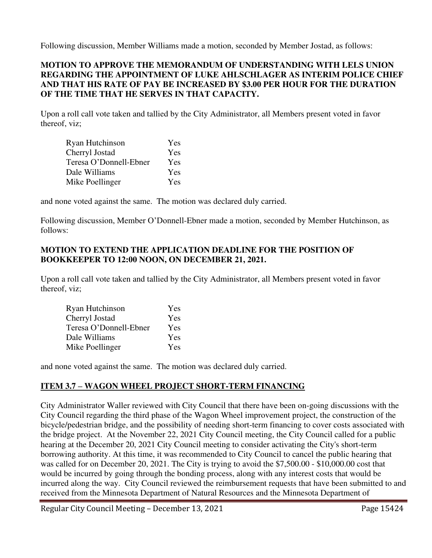Following discussion, Member Williams made a motion, seconded by Member Jostad, as follows:

## **MOTION TO APPROVE THE MEMORANDUM OF UNDERSTANDING WITH LELS UNION REGARDING THE APPOINTMENT OF LUKE AHLSCHLAGER AS INTERIM POLICE CHIEF AND THAT HIS RATE OF PAY BE INCREASED BY \$3.00 PER HOUR FOR THE DURATION OF THE TIME THAT HE SERVES IN THAT CAPACITY.**

Upon a roll call vote taken and tallied by the City Administrator, all Members present voted in favor thereof, viz;

| Ryan Hutchinson        | Yes |
|------------------------|-----|
| Cherryl Jostad         | Yes |
| Teresa O'Donnell-Ebner | Yes |
| Dale Williams          | Yes |
| Mike Poellinger        | Yes |

and none voted against the same. The motion was declared duly carried.

Following discussion, Member O'Donnell-Ebner made a motion, seconded by Member Hutchinson, as follows:

## **MOTION TO EXTEND THE APPLICATION DEADLINE FOR THE POSITION OF BOOKKEEPER TO 12:00 NOON, ON DECEMBER 21, 2021.**

Upon a roll call vote taken and tallied by the City Administrator, all Members present voted in favor thereof, viz;

| Ryan Hutchinson        | Yes |
|------------------------|-----|
| Cherryl Jostad         | Yes |
| Teresa O'Donnell-Ebner | Yes |
| Dale Williams          | Yes |
| Mike Poellinger        | Yes |

and none voted against the same. The motion was declared duly carried.

# **ITEM 3.7 – WAGON WHEEL PROJECT SHORT-TERM FINANCING**

City Administrator Waller reviewed with City Council that there have been on-going discussions with the City Council regarding the third phase of the Wagon Wheel improvement project, the construction of the bicycle/pedestrian bridge, and the possibility of needing short-term financing to cover costs associated with the bridge project. At the November 22, 2021 City Council meeting, the City Council called for a public hearing at the December 20, 2021 City Council meeting to consider activating the City's short-term borrowing authority. At this time, it was recommended to City Council to cancel the public hearing that was called for on December 20, 2021. The City is trying to avoid the \$7,500.00 - \$10,000.00 cost that would be incurred by going through the bonding process, along with any interest costs that would be incurred along the way. City Council reviewed the reimbursement requests that have been submitted to and received from the Minnesota Department of Natural Resources and the Minnesota Department of

Regular City Council Meeting – December 13, 2021 Page 15424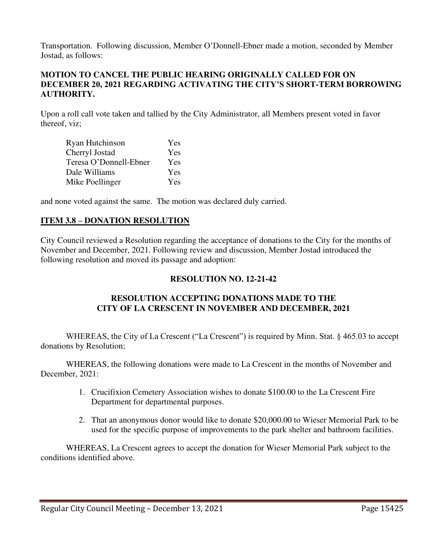Transportation. Following discussion, Member O'Donnell-Ebner made a motion, seconded by Member Jostad, as follows:

## **MOTION TO CANCEL THE PUBLIC HEARING ORIGINALLY CALLED FOR ON DECEMBER 20, 2021 REGARDING ACTIVATING THE CITY'S SHORT-TERM BORROWING AUTHORITY.**

Upon a roll call vote taken and tallied by the City Administrator, all Members present voted in favor thereof, viz;

| Ryan Hutchinson        | Yes |
|------------------------|-----|
| Cherryl Jostad         | Yes |
| Teresa O'Donnell-Ebner | Yes |
| Dale Williams          | Yes |
| Mike Poellinger        | Yes |

and none voted against the same. The motion was declared duly carried.

## **ITEM 3.8 – DONATION RESOLUTION**

City Council reviewed a Resolution regarding the acceptance of donations to the City for the months of November and December, 2021. Following review and discussion, Member Jostad introduced the following resolution and moved its passage and adoption:

## **RESOLUTION NO. 12-21-42**

## **RESOLUTION ACCEPTING DONATIONS MADE TO THE CITY OF LA CRESCENT IN NOVEMBER AND DECEMBER, 2021**

WHEREAS, the City of La Crescent ("La Crescent") is required by Minn. Stat. § 465.03 to accept donations by Resolution;

WHEREAS, the following donations were made to La Crescent in the months of November and December, 2021:

- 1. Crucifixion Cemetery Association wishes to donate \$100.00 to the La Crescent Fire Department for departmental purposes.
- 2. That an anonymous donor would like to donate \$20,000.00 to Wieser Memorial Park to be used for the specific purpose of improvements to the park shelter and bathroom facilities.

WHEREAS, La Crescent agrees to accept the donation for Wieser Memorial Park subject to the conditions identified above.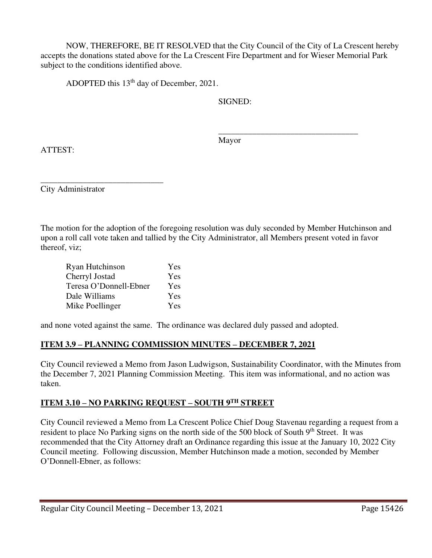NOW, THEREFORE, BE IT RESOLVED that the City Council of the City of La Crescent hereby accepts the donations stated above for the La Crescent Fire Department and for Wieser Memorial Park subject to the conditions identified above.

ADOPTED this 13th day of December, 2021.

SIGNED:

 $\overline{\phantom{a}}$  , and the contract of the contract of the contract of the contract of the contract of the contract of the contract of the contract of the contract of the contract of the contract of the contract of the contrac Mayor

ATTEST:

\_\_\_\_\_\_\_\_\_\_\_\_\_\_\_\_\_\_\_\_\_\_\_\_\_\_\_\_\_ City Administrator

The motion for the adoption of the foregoing resolution was duly seconded by Member Hutchinson and upon a roll call vote taken and tallied by the City Administrator, all Members present voted in favor thereof, viz;

| Ryan Hutchinson        | Yes        |
|------------------------|------------|
| Cherryl Jostad         | Yes        |
| Teresa O'Donnell-Ebner | Yes        |
| Dale Williams          | Yes        |
| Mike Poellinger        | <b>Yes</b> |

and none voted against the same. The ordinance was declared duly passed and adopted.

# **ITEM 3.9 – PLANNING COMMISSION MINUTES – DECEMBER 7, 2021**

City Council reviewed a Memo from Jason Ludwigson, Sustainability Coordinator, with the Minutes from the December 7, 2021 Planning Commission Meeting. This item was informational, and no action was taken.

# **ITEM 3.10 – NO PARKING REQUEST – SOUTH 9TH STREET**

City Council reviewed a Memo from La Crescent Police Chief Doug Stavenau regarding a request from a resident to place No Parking signs on the north side of the 500 block of South 9<sup>th</sup> Street. It was recommended that the City Attorney draft an Ordinance regarding this issue at the January 10, 2022 City Council meeting. Following discussion, Member Hutchinson made a motion, seconded by Member O'Donnell-Ebner, as follows: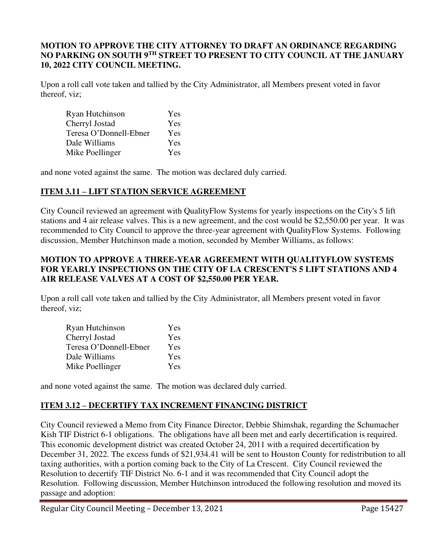## **MOTION TO APPROVE THE CITY ATTORNEY TO DRAFT AN ORDINANCE REGARDING NO PARKING ON SOUTH 9TH STREET TO PRESENT TO CITY COUNCIL AT THE JANUARY 10, 2022 CITY COUNCIL MEETING.**

Upon a roll call vote taken and tallied by the City Administrator, all Members present voted in favor thereof, viz;

| Ryan Hutchinson        | Yes |
|------------------------|-----|
| Cherryl Jostad         | Yes |
| Teresa O'Donnell-Ebner | Yes |
| Dale Williams          | Yes |
| Mike Poellinger        | Yes |

and none voted against the same. The motion was declared duly carried.

# **ITEM 3.11 – LIFT STATION SERVICE AGREEMENT**

City Council reviewed an agreement with QualityFlow Systems for yearly inspections on the City's 5 lift stations and 4 air release valves. This is a new agreement, and the cost would be \$2,550.00 per year. It was recommended to City Council to approve the three-year agreement with QualityFlow Systems. Following discussion, Member Hutchinson made a motion, seconded by Member Williams, as follows:

## **MOTION TO APPROVE A THREE-YEAR AGREEMENT WITH QUALITYFLOW SYSTEMS FOR YEARLY INSPECTIONS ON THE CITY OF LA CRESCENT'S 5 LIFT STATIONS AND 4 AIR RELEASE VALVES AT A COST OF \$2,550.00 PER YEAR.**

Upon a roll call vote taken and tallied by the City Administrator, all Members present voted in favor thereof, viz;

| Ryan Hutchinson        | Yes        |
|------------------------|------------|
| Cherryl Jostad         | <b>Yes</b> |
| Teresa O'Donnell-Ebner | <b>Yes</b> |
| Dale Williams          | Yes        |
| Mike Poellinger        | Yes        |

and none voted against the same. The motion was declared duly carried.

## **ITEM 3.12 – DECERTIFY TAX INCREMENT FINANCING DISTRICT**

City Council reviewed a Memo from City Finance Director, Debbie Shimshak, regarding the Schumacher Kish TIF District 6-1 obligations. The obligations have all been met and early decertification is required. This economic development district was created October 24, 2011 with a required decertification by December 31, 2022. The excess funds of \$21,934.41 will be sent to Houston County for redistribution to all taxing authorities, with a portion coming back to the City of La Crescent. City Council reviewed the Resolution to decertify TIF District No. 6-1 and it was recommended that City Council adopt the Resolution. Following discussion, Member Hutchinson introduced the following resolution and moved its passage and adoption: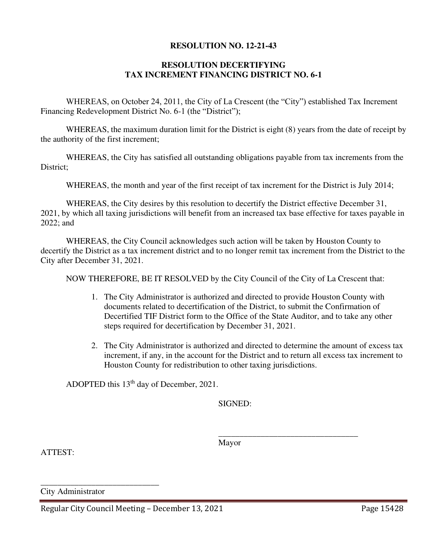#### **RESOLUTION NO. 12-21-43**

## **RESOLUTION DECERTIFYING TAX INCREMENT FINANCING DISTRICT NO. 6-1**

WHEREAS, on October 24, 2011, the City of La Crescent (the "City") established Tax Increment Financing Redevelopment District No. 6-1 (the "District");

WHEREAS, the maximum duration limit for the District is eight (8) years from the date of receipt by the authority of the first increment;

WHEREAS, the City has satisfied all outstanding obligations payable from tax increments from the District;

WHEREAS, the month and year of the first receipt of tax increment for the District is July 2014;

WHEREAS, the City desires by this resolution to decertify the District effective December 31, 2021, by which all taxing jurisdictions will benefit from an increased tax base effective for taxes payable in 2022; and

 WHEREAS, the City Council acknowledges such action will be taken by Houston County to decertify the District as a tax increment district and to no longer remit tax increment from the District to the City after December 31, 2021.

NOW THEREFORE, BE IT RESOLVED by the City Council of the City of La Crescent that:

- 1. The City Administrator is authorized and directed to provide Houston County with documents related to decertification of the District, to submit the Confirmation of Decertified TIF District form to the Office of the State Auditor, and to take any other steps required for decertification by December 31, 2021.
- 2. The City Administrator is authorized and directed to determine the amount of excess tax increment, if any, in the account for the District and to return all excess tax increment to Houston County for redistribution to other taxing jurisdictions.

ADOPTED this 13th day of December, 2021.

SIGNED:

 $\overline{\phantom{a}}$  , and the contract of the contract of the contract of the contract of the contract of the contract of the contract of the contract of the contract of the contract of the contract of the contract of the contrac Mayor

ATTEST:

\_\_\_\_\_\_\_\_\_\_\_\_\_\_\_\_\_\_\_\_\_\_\_\_\_\_\_\_ City Administrator

Regular City Council Meeting – December 13, 2021 Page 15428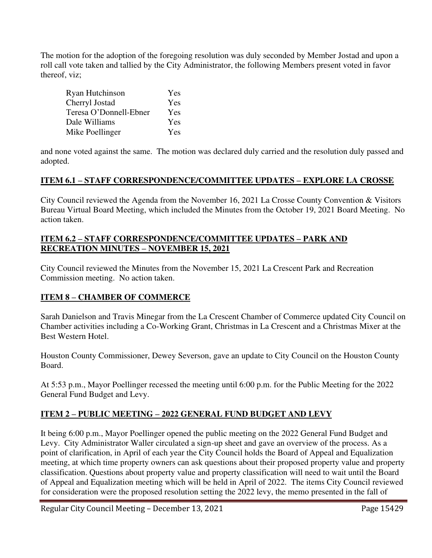The motion for the adoption of the foregoing resolution was duly seconded by Member Jostad and upon a roll call vote taken and tallied by the City Administrator, the following Members present voted in favor thereof, viz;

| Ryan Hutchinson        | Yes        |
|------------------------|------------|
| Cherryl Jostad         | Yes        |
| Teresa O'Donnell-Ebner | <b>Yes</b> |
| Dale Williams          | Yes        |
| Mike Poellinger        | <b>Yes</b> |

and none voted against the same. The motion was declared duly carried and the resolution duly passed and adopted.

# **ITEM 6.1 – STAFF CORRESPONDENCE/COMMITTEE UPDATES – EXPLORE LA CROSSE**

City Council reviewed the Agenda from the November 16, 2021 La Crosse County Convention & Visitors Bureau Virtual Board Meeting, which included the Minutes from the October 19, 2021 Board Meeting. No action taken.

## **ITEM 6.2 – STAFF CORRESPONDENCE/COMMITTEE UPDATES – PARK AND RECREATION MINUTES – NOVEMBER 15, 2021**

City Council reviewed the Minutes from the November 15, 2021 La Crescent Park and Recreation Commission meeting. No action taken.

# **ITEM 8 – CHAMBER OF COMMERCE**

Sarah Danielson and Travis Minegar from the La Crescent Chamber of Commerce updated City Council on Chamber activities including a Co-Working Grant, Christmas in La Crescent and a Christmas Mixer at the Best Western Hotel.

Houston County Commissioner, Dewey Severson, gave an update to City Council on the Houston County Board.

At 5:53 p.m., Mayor Poellinger recessed the meeting until 6:00 p.m. for the Public Meeting for the 2022 General Fund Budget and Levy.

## **ITEM 2 – PUBLIC MEETING – 2022 GENERAL FUND BUDGET AND LEVY**

It being 6:00 p.m., Mayor Poellinger opened the public meeting on the 2022 General Fund Budget and Levy. City Administrator Waller circulated a sign-up sheet and gave an overview of the process. As a point of clarification, in April of each year the City Council holds the Board of Appeal and Equalization meeting, at which time property owners can ask questions about their proposed property value and property classification. Questions about property value and property classification will need to wait until the Board of Appeal and Equalization meeting which will be held in April of 2022. The items City Council reviewed for consideration were the proposed resolution setting the 2022 levy, the memo presented in the fall of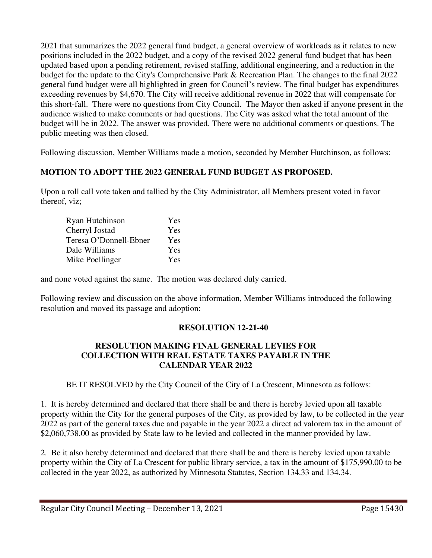2021 that summarizes the 2022 general fund budget, a general overview of workloads as it relates to new positions included in the 2022 budget, and a copy of the revised 2022 general fund budget that has been updated based upon a pending retirement, revised staffing, additional engineering, and a reduction in the budget for the update to the City's Comprehensive Park & Recreation Plan. The changes to the final 2022 general fund budget were all highlighted in green for Council's review. The final budget has expenditures exceeding revenues by \$4,670. The City will receive additional revenue in 2022 that will compensate for this short-fall. There were no questions from City Council. The Mayor then asked if anyone present in the audience wished to make comments or had questions. The City was asked what the total amount of the budget will be in 2022. The answer was provided. There were no additional comments or questions. The public meeting was then closed.

Following discussion, Member Williams made a motion, seconded by Member Hutchinson, as follows:

# **MOTION TO ADOPT THE 2022 GENERAL FUND BUDGET AS PROPOSED.**

Upon a roll call vote taken and tallied by the City Administrator, all Members present voted in favor thereof, viz;

| Ryan Hutchinson        | Yes        |
|------------------------|------------|
| Cherryl Jostad         | <b>Yes</b> |
| Teresa O'Donnell-Ebner | <b>Yes</b> |
| Dale Williams          | <b>Yes</b> |
| Mike Poellinger        | <b>Yes</b> |

and none voted against the same. The motion was declared duly carried.

Following review and discussion on the above information, Member Williams introduced the following resolution and moved its passage and adoption:

# **RESOLUTION 12-21-40**

## **RESOLUTION MAKING FINAL GENERAL LEVIES FOR COLLECTION WITH REAL ESTATE TAXES PAYABLE IN THE CALENDAR YEAR 2022**

BE IT RESOLVED by the City Council of the City of La Crescent, Minnesota as follows:

1. It is hereby determined and declared that there shall be and there is hereby levied upon all taxable property within the City for the general purposes of the City, as provided by law, to be collected in the year 2022 as part of the general taxes due and payable in the year 2022 a direct ad valorem tax in the amount of \$2,060,738.00 as provided by State law to be levied and collected in the manner provided by law.

2. Be it also hereby determined and declared that there shall be and there is hereby levied upon taxable property within the City of La Crescent for public library service, a tax in the amount of \$175,990.00 to be collected in the year 2022, as authorized by Minnesota Statutes, Section 134.33 and 134.34.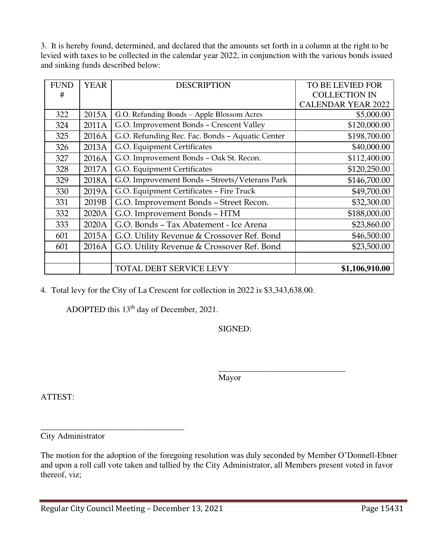3. It is hereby found, determined, and declared that the amounts set forth in a column at the right to be levied with taxes to be collected in the calendar year 2022, in conjunction with the various bonds issued and sinking funds described below:

| <b>FUND</b> | <b>YEAR</b> | <b>DESCRIPTION</b>                              | <b>TO BE LEVIED FOR</b>   |
|-------------|-------------|-------------------------------------------------|---------------------------|
| #           |             |                                                 | <b>COLLECTION IN</b>      |
|             |             |                                                 | <b>CALENDAR YEAR 2022</b> |
| 322         | 2015A       | G.O. Refunding Bonds - Apple Blossom Acres      | \$5,000.00                |
| 324         | 2011A       | G.O. Improvement Bonds - Crescent Valley        | \$120,000.00              |
| 325         | 2016A       | G.O. Refunding Rec. Fac. Bonds - Aquatic Center | \$198,700.00              |
| 326         | 2013A       | G.O. Equipment Certificates                     | \$40,000.00               |
| 327         | 2016A       | G.O. Improvement Bonds - Oak St. Recon.         | \$112,400.00              |
| 328         | 2017A       | G.O. Equipment Certificates                     | \$120,250.00              |
| 329         | 2018A       | G.O. Improvement Bonds - Streets/Veterans Park  | \$146,700.00              |
| 330         | 2019A       | G.O. Equipment Certificates - Fire Truck        | \$49,700.00               |
| 331         | 2019B       | G.O. Improvement Bonds - Street Recon.          | \$32,300.00               |
| 332         | 2020A       | G.O. Improvement Bonds - HTM                    | \$188,000.00              |
| 333         | 2020A       | G.O. Bonds - Tax Abatement - Ice Arena          | \$23,860.00               |
| 601         | 2015A       | G.O. Utility Revenue & Crossover Ref. Bond      | \$46,500.00               |
| 601         | 2016A       | G.O. Utility Revenue & Crossover Ref. Bond      | \$23,500.00               |
|             |             |                                                 |                           |
|             |             | TOTAL DEBT SERVICE LEVY                         | \$1,106,910.00            |

4. Total levy for the City of La Crescent for collection in 2022 is \$3,343,638.00.

ADOPTED this 13<sup>th</sup> day of December, 2021.

SIGNED:

 $\overline{\phantom{a}}$  , and the contract of the contract of the contract of the contract of the contract of the contract of the contract of the contract of the contract of the contract of the contract of the contract of the contrac Mayor

ATTEST:

City Administrator

The motion for the adoption of the foregoing resolution was duly seconded by Member O'Donnell-Ebner and upon a roll call vote taken and tallied by the City Administrator, all Members present voted in favor thereof, viz;

\_\_\_\_\_\_\_\_\_\_\_\_\_\_\_\_\_\_\_\_\_\_\_\_\_\_\_\_\_\_\_\_\_\_